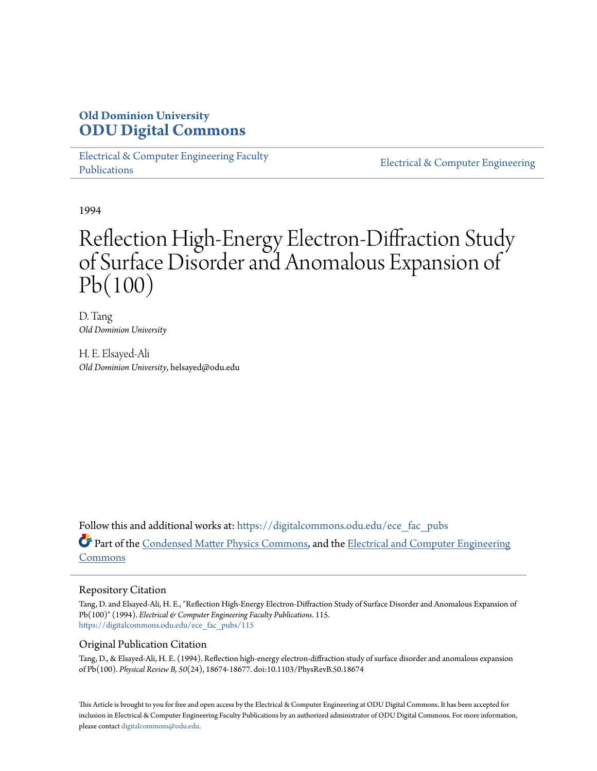## **Old Dominion University [ODU Digital Commons](https://digitalcommons.odu.edu?utm_source=digitalcommons.odu.edu%2Fece_fac_pubs%2F115&utm_medium=PDF&utm_campaign=PDFCoverPages)**

[Electrical & Computer Engineering Faculty](https://digitalcommons.odu.edu/ece_fac_pubs?utm_source=digitalcommons.odu.edu%2Fece_fac_pubs%2F115&utm_medium=PDF&utm_campaign=PDFCoverPages) [Publications](https://digitalcommons.odu.edu/ece_fac_pubs?utm_source=digitalcommons.odu.edu%2Fece_fac_pubs%2F115&utm_medium=PDF&utm_campaign=PDFCoverPages)

[Electrical & Computer Engineering](https://digitalcommons.odu.edu/ece?utm_source=digitalcommons.odu.edu%2Fece_fac_pubs%2F115&utm_medium=PDF&utm_campaign=PDFCoverPages)

1994

# Reflection High-Energy Electron-Diffraction Study of Surface Disorder and Anomalous Expansion of Pb(100)

D. Tang *Old Dominion University*

H. E. Elsayed-Ali *Old Dominion University*, helsayed@odu.edu

Follow this and additional works at: [https://digitalcommons.odu.edu/ece\\_fac\\_pubs](https://digitalcommons.odu.edu/ece_fac_pubs?utm_source=digitalcommons.odu.edu%2Fece_fac_pubs%2F115&utm_medium=PDF&utm_campaign=PDFCoverPages) Part of the [Condensed Matter Physics Commons,](http://network.bepress.com/hgg/discipline/197?utm_source=digitalcommons.odu.edu%2Fece_fac_pubs%2F115&utm_medium=PDF&utm_campaign=PDFCoverPages) and the [Electrical and Computer Engineering](http://network.bepress.com/hgg/discipline/266?utm_source=digitalcommons.odu.edu%2Fece_fac_pubs%2F115&utm_medium=PDF&utm_campaign=PDFCoverPages) [Commons](http://network.bepress.com/hgg/discipline/266?utm_source=digitalcommons.odu.edu%2Fece_fac_pubs%2F115&utm_medium=PDF&utm_campaign=PDFCoverPages)

#### Repository Citation

Tang, D. and Elsayed-Ali, H. E., "Reflection High-Energy Electron-Diffraction Study of Surface Disorder and Anomalous Expansion of Pb(100)" (1994). *Electrical & Computer Engineering Faculty Publications*. 115. [https://digitalcommons.odu.edu/ece\\_fac\\_pubs/115](https://digitalcommons.odu.edu/ece_fac_pubs/115?utm_source=digitalcommons.odu.edu%2Fece_fac_pubs%2F115&utm_medium=PDF&utm_campaign=PDFCoverPages)

#### Original Publication Citation

Tang, D., & Elsayed-Ali, H. E. (1994). Reflection high-energy electron-diffraction study of surface disorder and anomalous expansion of Pb(100). *Physical Review B, 50*(24), 18674-18677. doi:10.1103/PhysRevB.50.18674

This Article is brought to you for free and open access by the Electrical & Computer Engineering at ODU Digital Commons. It has been accepted for inclusion in Electrical & Computer Engineering Faculty Publications by an authorized administrator of ODU Digital Commons. For more information, please contact [digitalcommons@odu.edu](mailto:digitalcommons@odu.edu).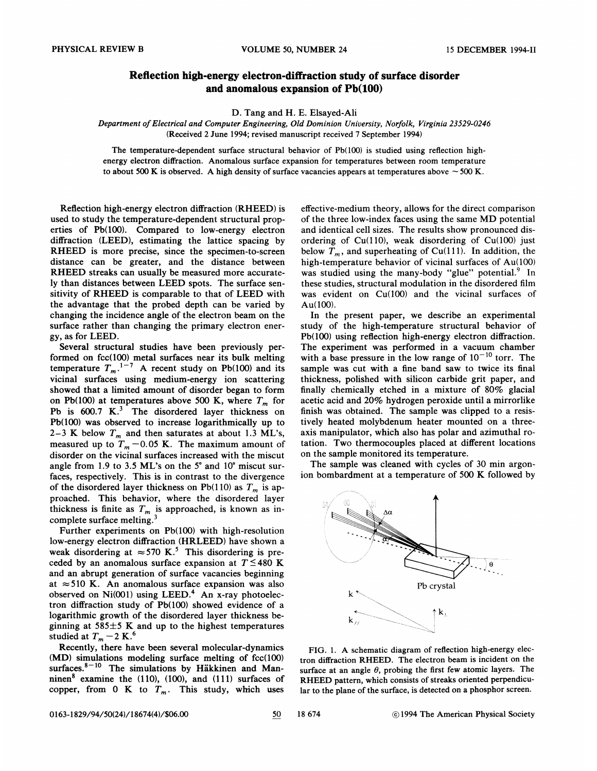### Reflection high-energy electron-diffraction study of surface disorder and anomalous expansion of Pb(100)

D. Tang and H. E. Elsayed-Ali

Department of Electrical and Computer Engineering, Old Dominion University, Norfolk, Virginia 23529-0246 (Received 2 June 1994; revised manuscript received 7 September 1994)

The temperature-dependent surface structural behavior of Pb(100) is studied using reflection highenergy electron difFraction. Anomalous surface expansion for temperatures between room temperature to about 500 K is observed. A high density of surface vacancies appears at temperatures above  $\sim$  500 K.

Reflection high-energy electron diffraction (RHEED) is used to study the temperature-dependent structural properties of Pb(100). Compared to low-energy electron diffraction (LEED), estimating the lattice spacing by RHEED is more precise, since the specimen-to-screen distance can be greater, and the distance between RHEED streaks can usually be measured more accurately than distances between LEED spots. The surface sensitivity of RHEED is comparable to that of LEED with the advantage that the probed depth can be varied by changing the incidence angle of the electron beam on the surface rather than changing the primary electron energy, as for LEED.

Several structural studies have been previously performed on fcc(100) metal surfaces near its bulk melting temperature  $T_m$ .<sup>1-7</sup> A recent study on Pb(100) and its vicinal surfaces using medium-energy ion scattering showed that a limited amount of disorder began to form on Pb(100) at temperatures above 500 K, where  $T_m$  for Pb is  $600.7$  K.<sup>3</sup> The disordered layer thickness on Pb(100) was observed to increase logarithmically up to 2-3 K below  $T_m$  and then saturates at about 1.3 ML's, measured up to  $T_m$  -0.05 K. The maximum amount of disorder on the vicinal surfaces increased with the miscut angle from 1.9 to 3.5 ML's on the 5' and 10' miscut surfaces, respectively. This is in contrast to the divergence of the disordered layer thickness on Pb(110) as  $T_m$  is approached. This behavior, where the disordered layer thickness is finite as  $T_m$  is approached, is known as incomplete surface melting.

Further experiments on Pb(100) with high-resolution low-energy electron diffraction (HRLEED) have shown a weak disordering at  $\approx$  570 K.<sup>5</sup> This disordering is preceded by an anomalous surface expansion at  $T \leq 480$  K and an abrupt generation of surface vacancies beginning at  $\approx$  510 K. An anomalous surface expansion was also observed on  $Ni(001)$  using LEED.<sup>4</sup> An x-ray photoelectron difFraction study of Pb(100) showed evidence of a logarithmic growth of the disordered layer thickness beginning at  $585\pm5$  K and up to the highest temperatures studied at  $T_m$  – 2 K.<sup>6</sup>

Recently, there have been several molecular-dynamics (MD) simulations modeling surface melting of fcc(100) surfaces. $8-10$  The simulations by Häkkinen and Manninen $8$  examine the (110), (100), and (111) surfaces of copper, from 0 K to  $T_m$ . This study, which uses

effective-medium theory, allows for the direct comparison of the three low-index faces using the same MD potential and identical cell sizes. The results show pronounced disordering of Cu(110), weak disordering of Cu(100) just below  $T_m$ , and superheating of Cu(111). In addition, the high-temperature behavior of vicinal surfaces of Au(100) was studied using the many-body "glue" potential.<sup>9</sup> In these studies, structural modulation in the disordered filrn was evident on Cu(100) and the vicinal surfaces of Au(100).

In the present paper, we describe an experimental study of the high-temperature structural behavior of Pb(100) using reflection high-energy electron difFraction. The experiment was performed in a vacuum chamber with a base pressure in the low range of  $10^{-10}$  torr. The sample was cut with a fine band saw to twice its final thickness, polished with silicon carbide grit paper, and finally chemically etched in a mixture of  $80\%$  glacial acetic acid and 20% hydrogen peroxide until a mirrorlike finish was obtained. The sample was clipped to a resistively heated molybdenum heater mounted on a threeaxis manipulator, which also has polar and azimuthal rotation. Two thermocouples placed at different locations on the sample monitored its temperature.

The sample was cleaned with cycles of 30 min argonion bombardment at a temperature of 500 K followed by



FIG. 1. A schematic diagram of reflection high-energy electron diffraction RHEED. The electron beam is incident on the surface at an angle  $\theta$ , probing the first few atomic layers. The RHEED pattern, which consists of streaks oriented perpendicular to the plane of the surface, is detected on a phosphor screen.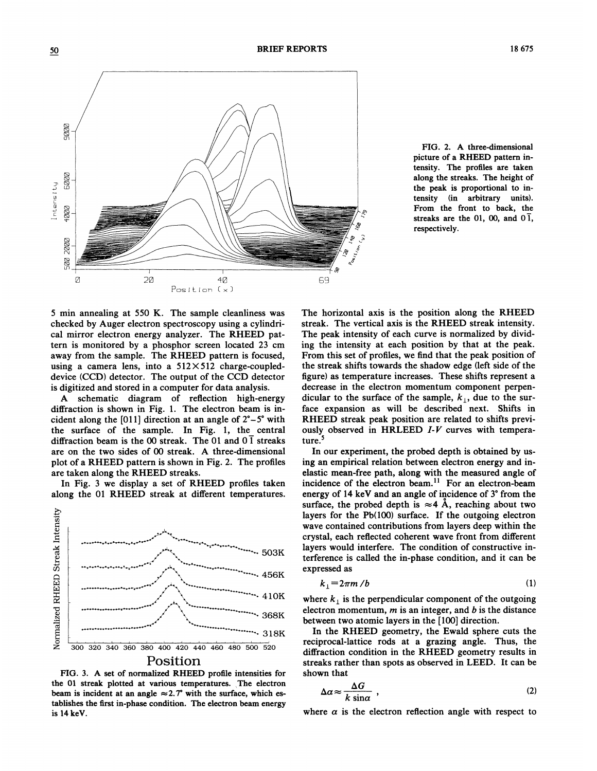

FIG. 2. A three-dimensional picture of a RHEED pattern intensity. The profiles are taken along the streaks. The height of the peak is proportional to intensity (in arbitrary units). From the front to back, the streaks are the 01, 00, and  $0\bar{1}$ , respectively.

5 min annealing at 550 K. The sample cleanliness was checked by Auger electron spectroscopy using a cylindrical mirror electron energy analyzer. The RHEED pattern is monitored by a phosphor screen located 23 cm away from the sample. The RHEED pattern is focused, using a camera lens, into a  $512 \times 512$  charge-coupleddevice (CCD) detector. The output of the CCD detector is digitized and stored in a computer for data analysis.

A schematic diagram of refiection high-energy difFraction is shown in Fig. 1. The electron beam is incident along the [011] direction at an angle of  $2^\circ - 5^\circ$  with the surface of the sample. In Fig. 1, the central diffraction beam is the 00 streak. The 01 and  $0\bar{1}$  streaks are on the two sides of 00 streak. A three-dimensional plot of a RHEED pattern is shown in Fig. 2. The profiles are taken along the RHEED streaks.

In Fig. 3 we display a set of RHEED profiles taken along the 01 RHEED streak at different temperatures.



FIG. 3. A set of normalized RHEED profile intensities for the 01 streak plotted at various temperatures. The electron beam is incident at an angle  $\approx 2.7^{\circ}$  with the surface, which establishes the first in-phase condition. The electron beam energy is 14 keV.

The horizontal axis is the position along the RHEED streak. The vertical axis is the RHEED streak intensity. The peak intensity of each curve is normalized by dividing the intensity at each position by that at the peak. From this set of profiles, we find that the peak position of the streak shifts towards the shadow edge (left side of the figure) as temperature increases. These shifts represent a decrease in the electron momentum component perpendicular to the surface of the sample,  $k_{\perp}$ , due to the surface expansion as will be described next. Shifts in RHEED streak peak position are related to shifts previously observed in HRLEED  $I-V$  curves with temperature.

In our experiment, the probed depth is obtained by using an empirical relation between electron energy and inelastic mean-free path, along with the measured angle of elastic mean-free path, along with the measured angle incidence of the electron beam.<sup>11</sup> For an electron-beam energy of 14 keV and an angle of incidence of 3' from the surface, the probed depth is  $\approx$  4 Å, reaching about two layers for the Pb(100) surface. If the outgoing electron wave contained contributions from layers deep within the crystal, each reflected coherent wave front from different layers would interfere. The condition of constructive interference is called the in-phase condition, and it can be expressed as

$$
k_1 = 2\pi m/b \tag{1}
$$

where  $k_{\perp}$  is the perpendicular component of the outgoing electron momentum,  $m$  is an integer, and  $b$  is the distance between two atomic layers in the [100] direction.

In the RHEED geometry, the Ewald sphere cuts the reciprocal-lattice rods at a grazing angle. Thus, the difFraction condition in the RHEED geometry results in streaks rather than spots as observed in LEED. It can be shown that

$$
\Delta a \approx \frac{\Delta G}{k \sin \alpha} \tag{2}
$$

where  $\alpha$  is the electron reflection angle with respect to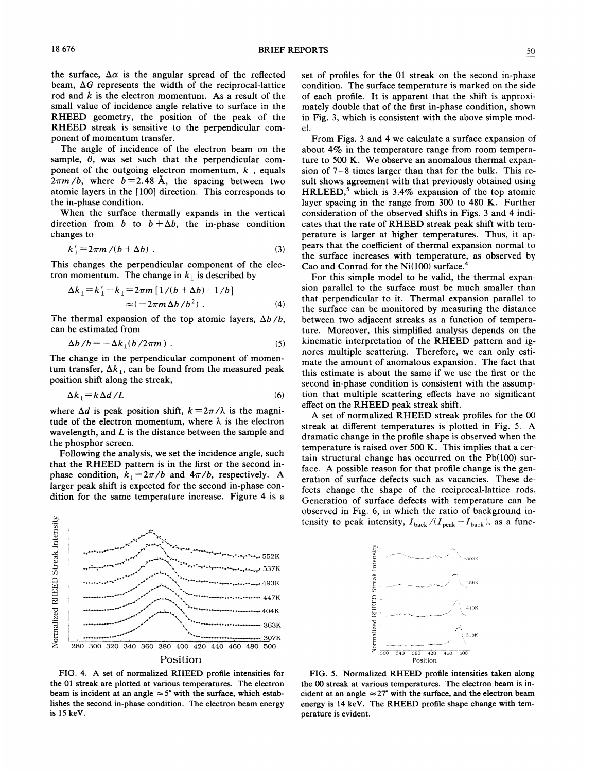the surface,  $\Delta \alpha$  is the angular spread of the reflected beam,  $\Delta G$  represents the width of the reciprocal-lattice rod and  $k$  is the electron momentum. As a result of the small value of incidence angle relative to surface in the RHEED geometry, the position of the peak of the RHEED streak is sensitive to the perpendicular component of momentum transfer.

The angle of incidence of the electron beam on the sample,  $\theta$ , was set such that the perpendicular component of the outgoing electron momentum,  $k_{\perp}$ , equals  $2\pi m/b$ , where  $b = 2.48$  Å, the spacing between two atomic layers in the [100] direction. This corresponds to the in-phase condition.

When the surface thermally expands in the vertical direction from b to  $b + \Delta b$ , the in-phase condition changes to

$$
k'_{\perp} = 2\pi m/(b + \Delta b) \tag{3}
$$

This changes the perpendicular component of the electron momentum. The change in  $k_{\perp}$  is described by

$$
\Delta k_{\perp} = k'_{\perp} - k_{\perp} = 2\pi m \left[ 1/(b + \Delta b) - 1/b \right]
$$
  
\n
$$
\approx (-2\pi m \Delta b/b^2) .
$$
 (4)

The thermal expansion of the top atomic layers,  $\Delta b/b$ , can be estimated from

$$
\Delta b / b = -\Delta k_{\perp} (b / 2\pi m) \tag{5}
$$

The change in the perpendicular component of momentum transfer,  $\Delta k_{\perp}$ , can be found from the measured peak position shift along the streak,

$$
\Delta k_{\perp} = k \, \Delta d \, / L \tag{6}
$$

where  $\Delta d$  is peak position shift,  $k = 2\pi/\lambda$  is the magnitude of the electron momentum, where  $\lambda$  is the electron wavelength, and  $L$  is the distance between the sample and the phosphor screen.

Following the analysis, we set the incidence angle, such that the RHEED pattern is in the first or the second inphase condition,  $k_{\perp} = 2\pi/b$  and  $4\pi/b$ , respectively. A larger peak shift is expected for the second in-phase condition for the same temperature increase. Figure 4 is a



FIG. 4. A set of normalized RHEED profile intensities for the 01 streak are plotted at various temperatures. The electron beam is incident at an angle  $\approx$  5° with the surface, which establishes the second in-phase condition. The electron beam energy is 15 keV.

set of profiles for the 01 streak on the second in-phase condition. The surface temperature is marked on the side of each profile. It is apparent that the shift is approximately double that of the first in-phase condition, shown in Fig. 3, which is consistent with the above simple model.

From Figs. 3 and 4 we calculate a surface expansion of about 4% in the temperature range from room temperature to 500 K. We observe an anomalous thermal expansion of 7—8 times larger than that for the bulk. This result shows agreement with that previously obtained using HRLEED,<sup>5</sup> which is 3.4% expansion of the top atomic layer spacing in the range from 300 to 480 K. Further consideration of the observed shifts in Figs. 3 and 4 indicates that the rate of RHEED streak peak shift with temperature is larger at higher temperatures. Thus, it appears that the coefficient of thermal expansion normal to the surface increases with temperature, as observed by Cao and Conrad for the Ni(100) surface.

For this simple model to be valid, the thermal expansion parallel to the surface must be much smaller than that perpendicular to it. Thermal expansion parallel to the surface can be monitored by measuring the distance between two adjacent streaks as a function of temperature. Moreover, this simplified analysis depends on the kinematic interpretation of the RHEED pattern and ignores multiple scattering. Therefore, we can only estimate the amount of anomalous expansion. The fact that this estimate is about the same if we use the first or the second in-phase condition is consistent with the assumption that multiple scattering eFects have no significant effect on the RHEED peak streak shift.

A set of normalized RHEED streak profiles for the 00 streak at different temperatures is plotted in Fig. 5. A dramatic change in the profile shape is observed when the temperature is raised over 500 K. This implies that a certain structural change has occurred on the Pb(100) surface. A possible reason for that profile change is the generation of surface defects such as vacancies, These defects change the shape of the reciprocal-lattice rods. Generation of surface defects with temperature can be observed in Fig. 6, in which the ratio of background intensity to peak intensity,  $I_{\text{back}}/(I_{\text{peak}}-I_{\text{back}})$ , as a func-